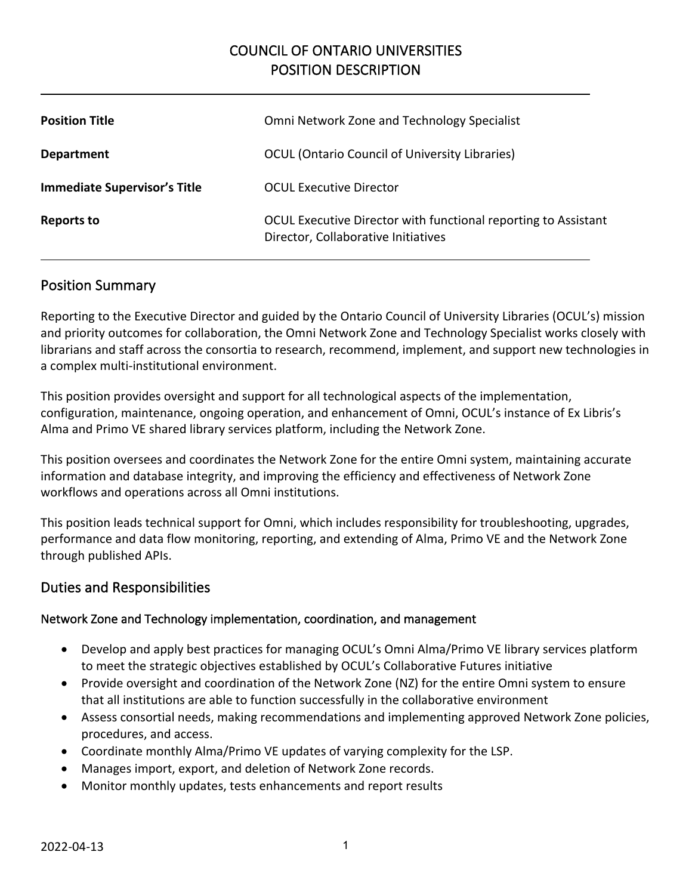# COUNCIL OF ONTARIO UNIVERSITIES POSITION DESCRIPTION

| <b>Position Title</b>               | Omni Network Zone and Technology Specialist                                                           |
|-------------------------------------|-------------------------------------------------------------------------------------------------------|
| <b>Department</b>                   | <b>OCUL (Ontario Council of University Libraries)</b>                                                 |
| <b>Immediate Supervisor's Title</b> | <b>OCUL Executive Director</b>                                                                        |
| Reports to                          | OCUL Executive Director with functional reporting to Assistant<br>Director, Collaborative Initiatives |

## Position Summary

Reporting to the Executive Director and guided by the Ontario Council of University Libraries (OCUL's) mission and priority outcomes for collaboration, the Omni Network Zone and Technology Specialist works closely with librarians and staff across the consortia to research, recommend, implement, and support new technologies in a complex multi-institutional environment.

This position provides oversight and support for all technological aspects of the implementation, configuration, maintenance, ongoing operation, and enhancement of Omni, OCUL's instance of Ex Libris's Alma and Primo VE shared library services platform, including the Network Zone.

This position oversees and coordinates the Network Zone for the entire Omni system, maintaining accurate information and database integrity, and improving the efficiency and effectiveness of Network Zone workflows and operations across all Omni institutions.

This position leads technical support for Omni, which includes responsibility for troubleshooting, upgrades, performance and data flow monitoring, reporting, and extending of Alma, Primo VE and the Network Zone through published APIs.

### Duties and Responsibilities

### Network Zone and Technology implementation, coordination, and management

- Develop and apply best practices for managing OCUL's Omni Alma/Primo VE library services platform to meet the strategic objectives established by OCUL's Collaborative Futures initiative
- Provide oversight and coordination of the Network Zone (NZ) for the entire Omni system to ensure that all institutions are able to function successfully in the collaborative environment
- Assess consortial needs, making recommendations and implementing approved Network Zone policies, procedures, and access.
- Coordinate monthly Alma/Primo VE updates of varying complexity for the LSP.
- Manages import, export, and deletion of Network Zone records.
- Monitor monthly updates, tests enhancements and report results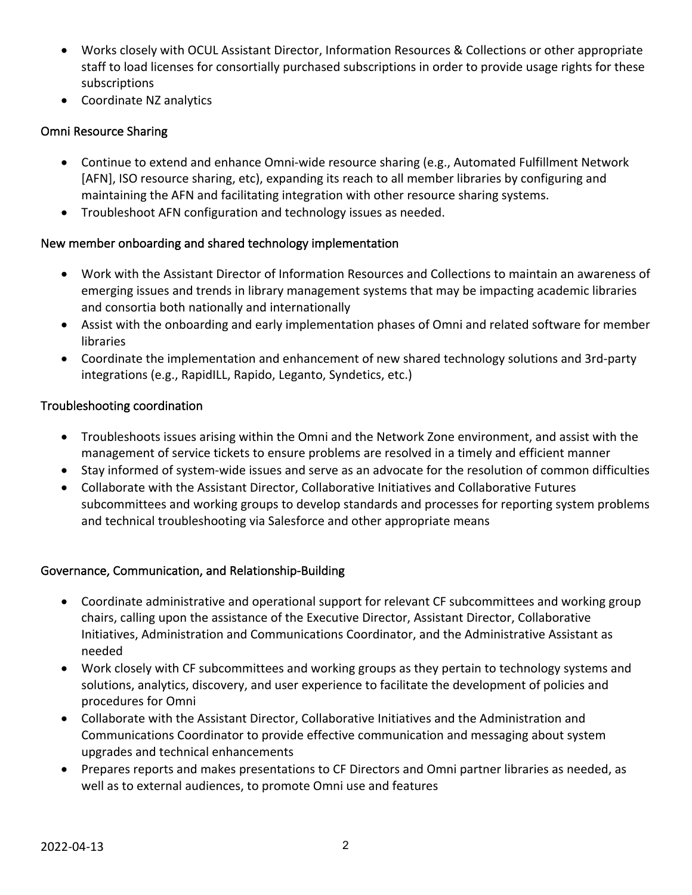- Works closely with OCUL Assistant Director, Information Resources & Collections or other appropriate staff to load licenses for consortially purchased subscriptions in order to provide usage rights for these subscriptions
- Coordinate NZ analytics

### Omni Resource Sharing

- Continue to extend and enhance Omni-wide resource sharing (e.g., Automated Fulfillment Network [AFN], ISO resource sharing, etc), expanding its reach to all member libraries by configuring and maintaining the AFN and facilitating integration with other resource sharing systems.
- Troubleshoot AFN configuration and technology issues as needed.

#### New member onboarding and shared technology implementation

- Work with the Assistant Director of Information Resources and Collections to maintain an awareness of emerging issues and trends in library management systems that may be impacting academic libraries and consortia both nationally and internationally
- Assist with the onboarding and early implementation phases of Omni and related software for member libraries
- Coordinate the implementation and enhancement of new shared technology solutions and 3rd-party integrations (e.g., RapidILL, Rapido, Leganto, Syndetics, etc.)

#### Troubleshooting coordination

- Troubleshoots issues arising within the Omni and the Network Zone environment, and assist with the management of service tickets to ensure problems are resolved in a timely and efficient manner
- Stay informed of system-wide issues and serve as an advocate for the resolution of common difficulties
- Collaborate with the Assistant Director, Collaborative Initiatives and Collaborative Futures subcommittees and working groups to develop standards and processes for reporting system problems and technical troubleshooting via Salesforce and other appropriate means

### Governance, Communication, and Relationship-Building

- Coordinate administrative and operational support for relevant CF subcommittees and working group chairs, calling upon the assistance of the Executive Director, Assistant Director, Collaborative Initiatives, Administration and Communications Coordinator, and the Administrative Assistant as needed
- Work closely with CF subcommittees and working groups as they pertain to technology systems and solutions, analytics, discovery, and user experience to facilitate the development of policies and procedures for Omni
- Collaborate with the Assistant Director, Collaborative Initiatives and the Administration and Communications Coordinator to provide effective communication and messaging about system upgrades and technical enhancements
- Prepares reports and makes presentations to CF Directors and Omni partner libraries as needed, as well as to external audiences, to promote Omni use and features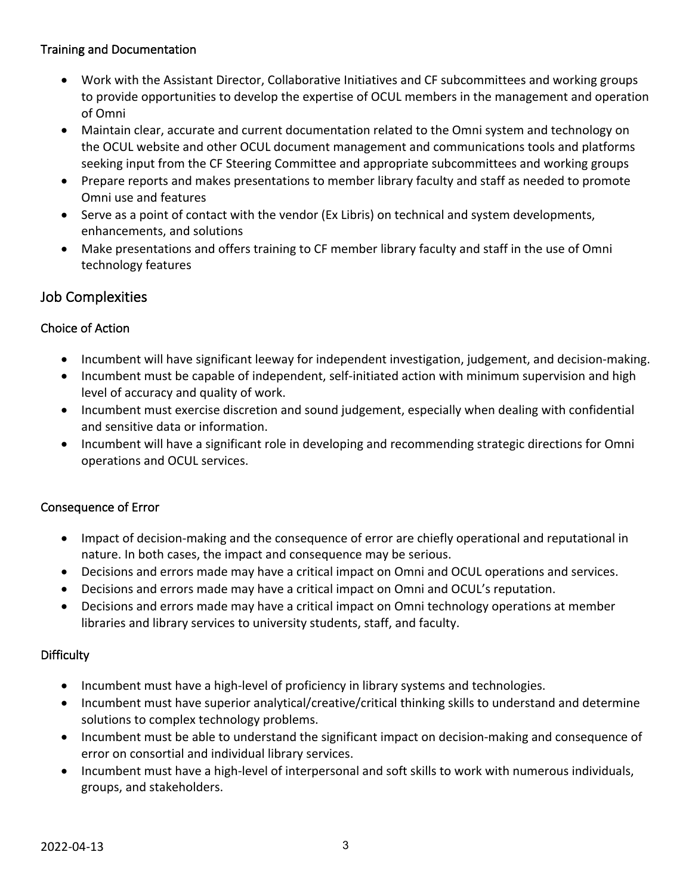### Training and Documentation

- Work with the Assistant Director, Collaborative Initiatives and CF subcommittees and working groups to provide opportunities to develop the expertise of OCUL members in the management and operation of Omni
- Maintain clear, accurate and current documentation related to the Omni system and technology on the OCUL website and other OCUL document management and communications tools and platforms seeking input from the CF Steering Committee and appropriate subcommittees and working groups
- Prepare reports and makes presentations to member library faculty and staff as needed to promote Omni use and features
- Serve as a point of contact with the vendor (Ex Libris) on technical and system developments, enhancements, and solutions
- Make presentations and offers training to CF member library faculty and staff in the use of Omni technology features

# Job Complexities

## Choice of Action

- Incumbent will have significant leeway for independent investigation, judgement, and decision-making.
- Incumbent must be capable of independent, self-initiated action with minimum supervision and high level of accuracy and quality of work.
- Incumbent must exercise discretion and sound judgement, especially when dealing with confidential and sensitive data or information.
- Incumbent will have a significant role in developing and recommending strategic directions for Omni operations and OCUL services.

### Consequence of Error

- Impact of decision-making and the consequence of error are chiefly operational and reputational in nature. In both cases, the impact and consequence may be serious.
- Decisions and errors made may have a critical impact on Omni and OCUL operations and services.
- Decisions and errors made may have a critical impact on Omni and OCUL's reputation.
- Decisions and errors made may have a critical impact on Omni technology operations at member libraries and library services to university students, staff, and faculty.

### **Difficulty**

- Incumbent must have a high-level of proficiency in library systems and technologies.
- Incumbent must have superior analytical/creative/critical thinking skills to understand and determine solutions to complex technology problems.
- Incumbent must be able to understand the significant impact on decision-making and consequence of error on consortial and individual library services.
- Incumbent must have a high-level of interpersonal and soft skills to work with numerous individuals, groups, and stakeholders.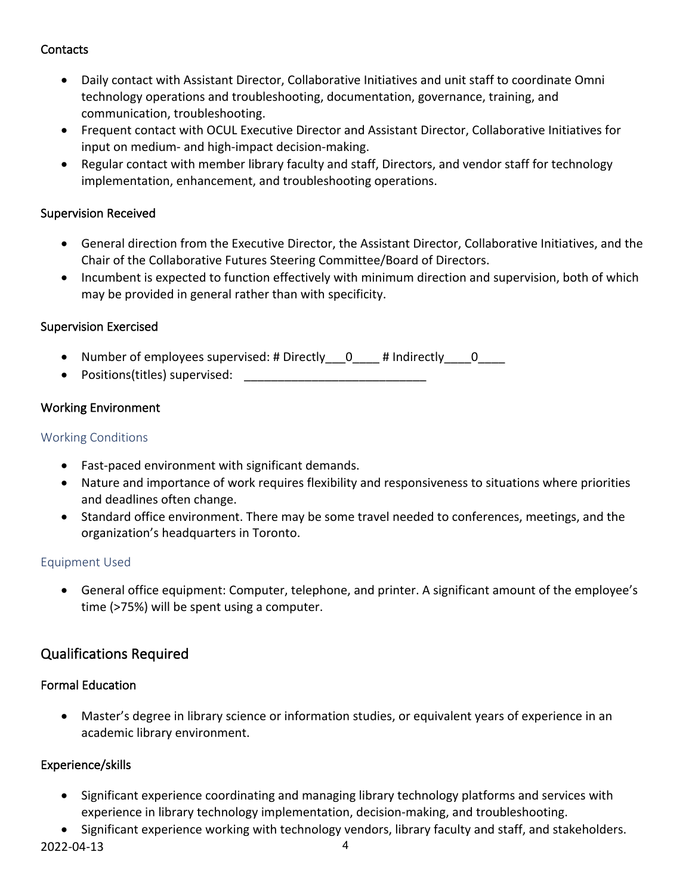## **Contacts**

- Daily contact with Assistant Director, Collaborative Initiatives and unit staff to coordinate Omni technology operations and troubleshooting, documentation, governance, training, and communication, troubleshooting.
- Frequent contact with OCUL Executive Director and Assistant Director, Collaborative Initiatives for input on medium- and high-impact decision-making.
- Regular contact with member library faculty and staff, Directors, and vendor staff for technology implementation, enhancement, and troubleshooting operations.

### Supervision Received

- General direction from the Executive Director, the Assistant Director, Collaborative Initiatives, and the Chair of the Collaborative Futures Steering Committee/Board of Directors.
- Incumbent is expected to function effectively with minimum direction and supervision, both of which may be provided in general rather than with specificity.

## Supervision Exercised

- Number of employees supervised: # Directly \_\_\_0\_\_\_\_ # Indirectly \_\_\_\_0\_\_\_\_
- Positions(titles) supervised:

## Working Environment

## Working Conditions

- Fast-paced environment with significant demands.
- Nature and importance of work requires flexibility and responsiveness to situations where priorities and deadlines often change.
- Standard office environment. There may be some travel needed to conferences, meetings, and the organization's headquarters in Toronto.

### Equipment Used

• General office equipment: Computer, telephone, and printer. A significant amount of the employee's time (>75%) will be spent using a computer.

## Qualifications Required

## Formal Education

• Master's degree in library science or information studies, or equivalent years of experience in an academic library environment.

## Experience/skills

- Significant experience coordinating and managing library technology platforms and services with experience in library technology implementation, decision-making, and troubleshooting.
- 2022-04-13 4 • Significant experience working with technology vendors, library faculty and staff, and stakeholders.